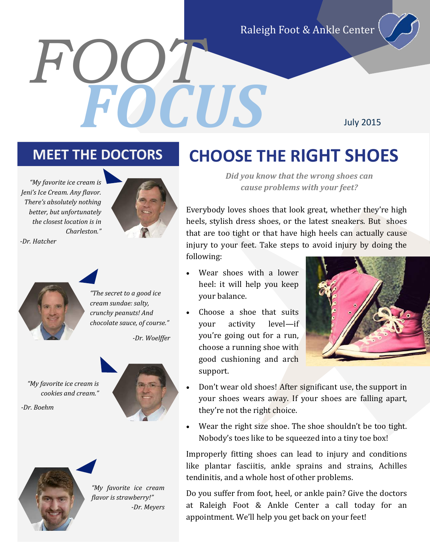Raleigh Foot & Ankle Center

July 2015

### **MEET THE DOCTORS CHOOSE THE RIGHT SHOES**

*FOOT*

*"My favorite ice cream is Jeni's Ice Cream. Any flavor. There's absolutely nothing better, but unfortunately the closest location is in Charleston." -Dr. Hatcher*



*Did you know that the wrong shoes can cause problems with your feet?*

Everybody loves shoes that look great, whether they're high heels, stylish dress shoes, or the latest sneakers. But shoes that are too tight or that have high heels can actually cause injury to your feet. Take steps to avoid injury by doing the following:

 Wear shoes with a lower heel: it will help you keep your balance.

*FOCUS*

 Choose a shoe that suits your activity level—if you're going out for a run, choose a running shoe with good cushioning and arch support.



- Don't wear old shoes! After significant use, the support in your shoes wears away. If your shoes are falling apart, they're not the right choice.
- Wear the right size shoe. The shoe shouldn't be too tight. Nobody's toes like to be squeezed into a tiny toe box!

Improperly fitting shoes can lead to injury and conditions like plantar fasciitis, ankle sprains and strains, Achilles tendinitis, and a whole host of other problems.

Do you suffer from foot, heel, or ankle pain? Give the doctors at Raleigh Foot & Ankle Center a call today for an appointment. We'll help you get back on your feet!



*"The secret to a good ice cream sundae: salty, crunchy peanuts! And chocolate sauce, of course."*

*-Dr. Woelffer*

*"My favorite ice cream is cookies and cream."*

*-Dr. Boehm*



*"My favorite ice cream flavor is strawberry!" -Dr. Meyers*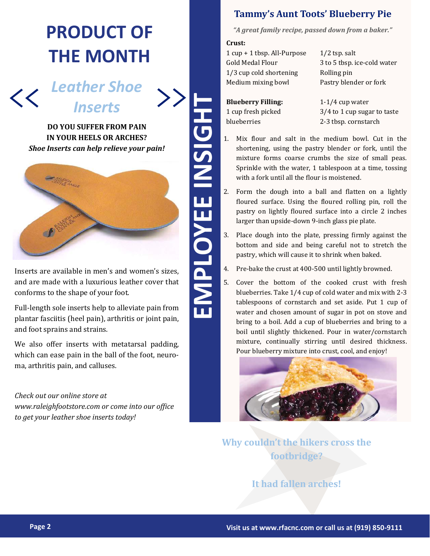### **PRODUCT OF THE MONTH**

 $\overline{\mathscr{C}}$ 

*Leather Shoe Inserts*

 $\left\langle \right\rangle$ 

**DO YOU SUFFER FROM PAIN IN YOUR HEELS OR ARCHES?** *Shoe Inserts can help relieve your pain!*



Inserts are available in men's and women's sizes, and are made with a luxurious leather cover that conforms to the shape of your foot.

Full-length sole inserts help to alleviate pain from plantar fasciitis (heel pain), arthritis or joint pain, and foot sprains and strains.

We also offer inserts with metatarsal padding, which can ease pain in the ball of the foot, neuroma, arthritis pain, and calluses.

*Check out our online store at www.raleighfootstore.com or come into our office to get your leather shoe inserts today!*

#### **Tammy's Aunt Toots' Blueberry Pie**

*"A great family recipe, passed down from a baker."*

**Crust:**

1 cup + 1 tbsp. All-Purpose Gold Medal Flour 1/3 cup cold shortening Medium mixing bowl

1/2 tsp. salt 3 to 5 tbsp. ice-cold water Rolling pin Pastry blender or fork

**Blueberry Filling:** 1 cup fresh picked blueberries

1-1/4 cup water 3/4 to 1 cup sugar to taste 2-3 tbsp. cornstarch

- 1. Mix flour and salt in the medium bowl. Cut in the shortening, using the pastry blender or fork, until the mixture forms coarse crumbs the size of small peas. Sprinkle with the water, 1 tablespoon at a time, tossing with a fork until all the flour is moistened.
- 2. Form the dough into a ball and flatten on a lightly floured surface. Using the floured rolling pin, roll the pastry on lightly floured surface into a circle 2 inches larger than upside-down 9-inch glass pie plate.
- 3. Place dough into the plate, pressing firmly against the bottom and side and being careful not to stretch the pastry, which will cause it to shrink when baked.
- 4. Pre-bake the crust at 400-500 until lightly browned.
- 5. Cover the bottom of the cooked crust with fresh blueberries. Take 1/4 cup of cold water and mix with 2-3 tablespoons of cornstarch and set aside. Put 1 cup of water and chosen amount of sugar in pot on stove and bring to a boil. Add a cup of blueberries and bring to a boil until slightly thickened. Pour in water/cornstarch mixture, continually stirring until desired thickness. Pour blueberry mixture into crust, cool, and enjoy!



**Why couldn't the hikers cross the footbridge?**

**It had fallen arches!**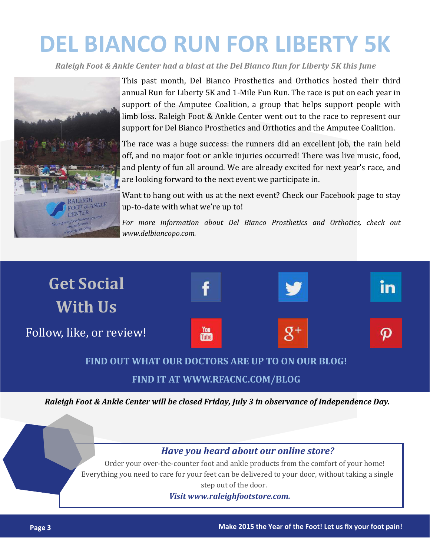# **DEL BIANCO RUN FOR LIBERTY 5K**

*Raleigh Foot & Ankle Center had a blast at the Del Bianco Run for Liberty 5K this June*



This past month, Del Bianco Prosthetics and Orthotics hosted their third annual Run for Liberty 5K and 1-Mile Fun Run. The race is put on each year in support of the Amputee Coalition, a group that helps support people with limb loss. Raleigh Foot & Ankle Center went out to the race to represent our support for Del Bianco Prosthetics and Orthotics and the Amputee Coalition.

The race was a huge success: the runners did an excellent job, the rain held off, and no major foot or ankle injuries occurred! There was live music, food, and plenty of fun all around. We are already excited for next year's race, and are looking forward to the next event we participate in.

Want to hang out with us at the next event? Check our Facebook page to stay up-to-date with what we're up to!

*For more information about Del Bianco Prosthetics and Orthotics, check out www.delbiancopo.com.*



**FIND IT AT WWW.RFACNC.COM/BLOG**

*Raleigh Foot & Ankle Center will be closed Friday, July 3 in observance of Independence Day.*

#### *Have you heard about our online store?*

Order your over-the-counter foot and ankle products from the comfort of your home! Everything you need to care for your feet can be delivered to your door, without taking a single step out of the door.

*Visit www.raleighfootstore.com.*